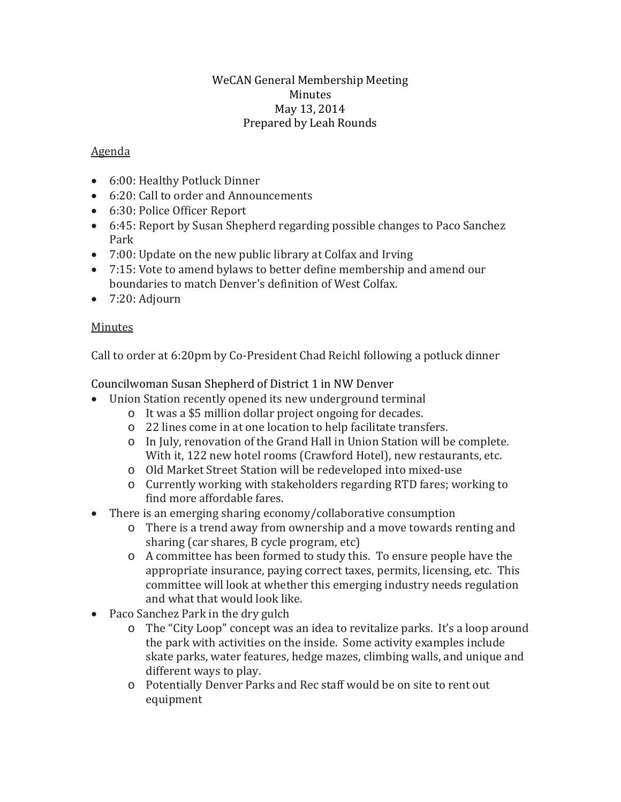#### WeCAN General Membership Meeting Minutes May 13, 2014 Prepared by Leah Rounds

### Agenda

- 6:00: Healthy Potluck Dinner
- 6:20: Call to order and Announcements
- 6:30: Police Officer Report
- 6:45: Report by Susan Shepherd regarding possible changes to Paco Sanchez Park
- 7:00: Update on the new public library at Colfax and Irving
- 7:15: Vote to amend bylaws to better define membership and amend our boundaries to match Denver's definition of West Colfax.
- 7:20: Adjourn

### Minutes

Call to order at 6:20pm by Co-President Chad Reichl following a potluck dinner

Councilwoman Susan Shepherd of District 1 in NW Denver

- Union Station recently opened its new underground terminal
	- o It was a \$5 million dollar project ongoing for decades.
	- o 22 lines come in at one location to help facilitate transfers.
	- o In July, renovation of the Grand Hall in Union Station will be complete. With it, 122 new hotel rooms (Crawford Hotel), new restaurants, etc.
	- o Old Market Street Station will be redeveloped into mixed-use
	- o Currently working with stakeholders regarding RTD fares; working to find more affordable fares.
- There is an emerging sharing economy/collaborative consumption
	- o There is a trend away from ownership and a move towards renting and sharing (car shares, B cycle program, etc)
	- o A committee has been formed to study this. To ensure people have the appropriate insurance, paying correct taxes, permits, licensing, etc. This committee will look at whether this emerging industry needs regulation and what that would look like.
- Paco Sanchez Park in the dry gulch<br>
o The "City Loop" concent was
	- The "City Loop" concept was an idea to revitalize parks. It's a loop around the park with activities on the inside. Some activity examples include skate parks, water features, hedge mazes, climbing walls, and unique and different ways to play.
	- o Potentially Denver Parks and Rec staff would be on site to rent out equipment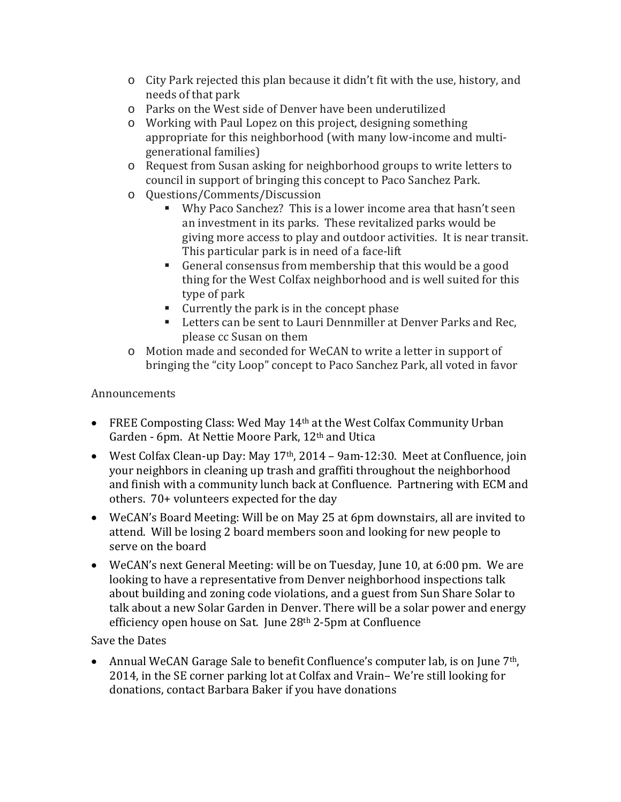- o City Park rejected this plan because it didn't fit with the use, history, and needs of that park
- o Parks on the West side of Denver have been underutilized
- o Working with Paul Lopez on this project, designing something appropriate for this neighborhood (with many low-income and multigenerational families)
- o Request from Susan asking for neighborhood groups to write letters to council in support of bringing this concept to Paco Sanchez Park.
- o Questions/Comments/Discussion
	- Why Paco Sanchez? This is a lower income area that hasn't seen an investment in its parks. These revitalized parks would be giving more access to play and outdoor activities. It is near transit. This particular park is in need of a face-lift
	- General consensus from membership that this would be a good thing for the West Colfax neighborhood and is well suited for this type of park
	- Currently the park is in the concept phase
	- **EXECTE:** Letters can be sent to Lauri Dennmiller at Denver Parks and Rec, please cc Susan on them
- o Motion made and seconded for WeCAN to write a letter in support of bringing the "city Loop" concept to Paco Sanchez Park, all voted in favor

# Announcements

- FREE Composting Class: Wed May 14<sup>th</sup> at the West Colfax Community Urban Garden - 6pm. At Nettie Moore Park, 12th and Utica
- West Colfax Clean-up Day: May  $17<sup>th</sup>$ , 2014 9am-12:30. Meet at Confluence, join your neighbors in cleaning up trash and graffiti throughout the neighborhood and finish with a community lunch back at Confluence. Partnering with ECM and others. 70+ volunteers expected for the day
- WeCAN's Board Meeting: Will be on May 25 at 6pm downstairs, all are invited to attend. Will be losing 2 board members soon and looking for new people to serve on the board
- WeCAN's next General Meeting: will be on Tuesday, June 10, at 6:00 pm. We are looking to have a representative from Denver neighborhood inspections talk about building and zoning code violations, and a guest from Sun Share Solar to talk about a new Solar Garden in Denver. There will be a solar power and energy efficiency open house on Sat. June 28<sup>th</sup> 2-5pm at Confluence

Save the Dates

• Annual WeCAN Garage Sale to benefit Confluence's computer lab, is on June 7<sup>th</sup>, 2014, in the SE corner parking lot at Colfax and Vrain– We're still looking for donations, contact Barbara Baker if you have donations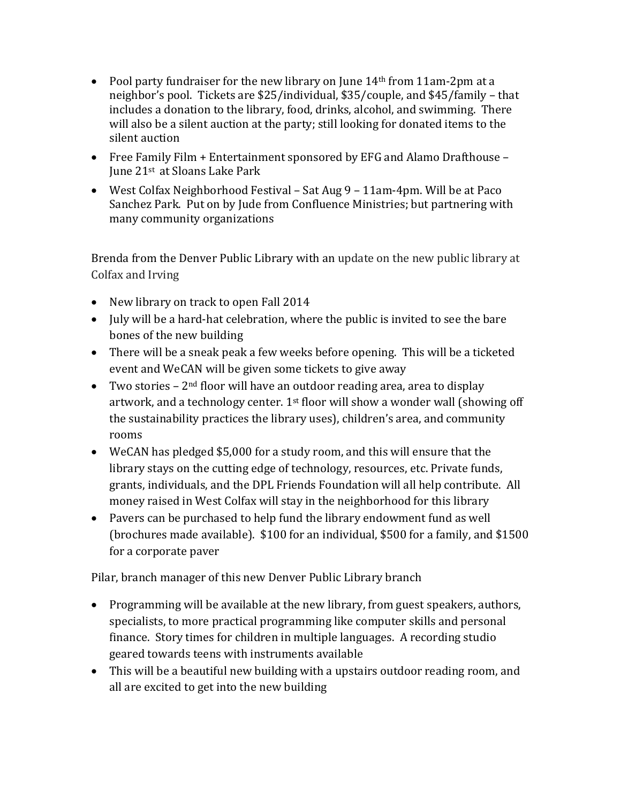- Pool party fundraiser for the new library on June  $14<sup>th</sup>$  from 11am-2pm at a neighbor's pool. Tickets are \$25/individual, \$35/couple, and \$45/family – that includes a donation to the library, food, drinks, alcohol, and swimming. There will also be a silent auction at the party; still looking for donated items to the silent auction
- Free Family Film + Entertainment sponsored by EFG and Alamo Drafthouse June 21st at Sloans Lake Park
- West Colfax Neighborhood Festival Sat Aug 9 11am-4pm. Will be at Paco Sanchez Park. Put on by Jude from Confluence Ministries; but partnering with many community organizations

Brenda from the Denver Public Library with an update on the new public library at Colfax and Irving

- New library on track to open Fall 2014
- July will be a hard-hat celebration, where the public is invited to see the bare bones of the new building
- There will be a sneak peak a few weeks before opening. This will be a ticketed event and WeCAN will be given some tickets to give away
- Two stories  $-2<sup>nd</sup>$  floor will have an outdoor reading area, area to display artwork, and a technology center. 1st floor will show a wonder wall (showing off the sustainability practices the library uses), children's area, and community rooms
- WeCAN has pledged \$5,000 for a study room, and this will ensure that the library stays on the cutting edge of technology, resources, etc. Private funds, grants, individuals, and the DPL Friends Foundation will all help contribute. All money raised in West Colfax will stay in the neighborhood for this library
- Pavers can be purchased to help fund the library endowment fund as well (brochures made available). \$100 for an individual, \$500 for a family, and \$1500 for a corporate paver

Pilar, branch manager of this new Denver Public Library branch

- Programming will be available at the new library, from guest speakers, authors, specialists, to more practical programming like computer skills and personal finance. Story times for children in multiple languages. A recording studio geared towards teens with instruments available
- This will be a beautiful new building with a upstairs outdoor reading room, and all are excited to get into the new building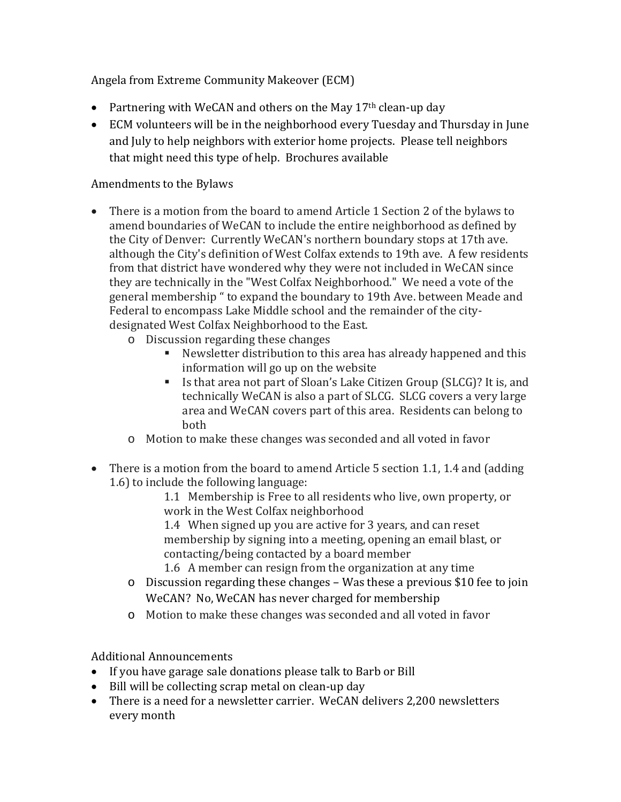Angela from Extreme Community Makeover (ECM)

- Partnering with WeCAN and others on the May  $17<sup>th</sup>$  clean-up day
- ECM volunteers will be in the neighborhood every Tuesday and Thursday in June and July to help neighbors with exterior home projects. Please tell neighbors that might need this type of help. Brochures available

## Amendments to the Bylaws

- There is a motion from the board to amend Article 1 Section 2 of the bylaws to amend boundaries of WeCAN to include the entire neighborhood as defined by the City of Denver: Currently WeCAN's northern boundary stops at 17th ave. although the City's definition of West Colfax extends to 19th ave. A few residents from that district have wondered why they were not included in WeCAN since they are technically in the "West Colfax Neighborhood." We need a vote of the general membership " to expand the boundary to 19th Ave. between Meade and Federal to encompass Lake Middle school and the remainder of the citydesignated West Colfax Neighborhood to the East.
	- o Discussion regarding these changes
		- Newsletter distribution to this area has already happened and this information will go up on the website
		- Is that area not part of Sloan's Lake Citizen Group (SLCG)? It is, and technically WeCAN is also a part of SLCG. SLCG covers a very large area and WeCAN covers part of this area. Residents can belong to both
	- o Motion to make these changes was seconded and all voted in favor
- There is a motion from the board to amend Article 5 section 1.1, 1.4 and (adding 1.6) to include the following language:

1.1 Membership is Free to all residents who live, own property, or work in the West Colfax neighborhood

1.4 When signed up you are active for 3 years, and can reset membership by signing into a meeting, opening an email blast, or contacting/being contacted by a board member

- 1.6 A member can resign from the organization at any time
- o Discussion regarding these changes Was these a previous \$10 fee to join WeCAN? No, WeCAN has never charged for membership
- o Motion to make these changes was seconded and all voted in favor

## Additional Announcements

- If you have garage sale donations please talk to Barb or Bill
- Bill will be collecting scrap metal on clean-up day
- There is a need for a newsletter carrier. WeCAN delivers 2,200 newsletters every month